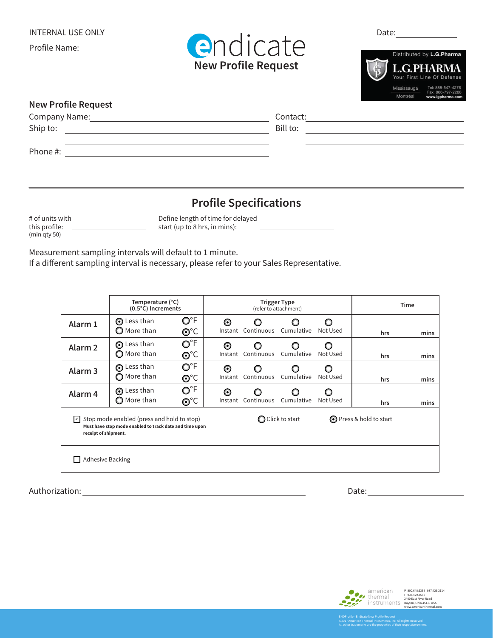Profile Name: <u>\_\_\_\_\_\_\_\_\_\_\_\_\_\_\_</u>





| <b>New Profile Request</b> |          |
|----------------------------|----------|
| Company Name:              | Contact: |
| Ship to:                   | Bill to: |
|                            |          |
| Phone #:                   |          |

## **Profile Specifications**

# of units with this profile: (min qty 50)

Define length of time for delayed start (up to 8 hrs, in mins):

Measurement sampling intervals will default to 1 minute.

If a different sampling interval is necessary, please refer to your Sales Representative.

|                                                                                                                                                | Temperature (°C)<br>(0.5°C) Increments      |                                        | <b>Trigger Type</b><br>(refer to attachment) |            |                         | Time          |     |      |
|------------------------------------------------------------------------------------------------------------------------------------------------|---------------------------------------------|----------------------------------------|----------------------------------------------|------------|-------------------------|---------------|-----|------|
| Alarm 1                                                                                                                                        | <b>⊙</b> Less than<br>$\mathbf O$ More than | $\mathsf{O}^\circ$ F<br>$O^{\circ}C$   | ⊙<br>Instant                                 | Continuous | Cumulative              | Not Used      | hrs | mins |
| Alarm <sub>2</sub>                                                                                                                             | <b>O</b> Less than<br>$\bigcirc$ More than  | $O^{\circ}F$<br>$\odot^{\circ}C$       | O<br>Instant                                 | Continuous | Cumulative              | ∩<br>Not Used | hrs | mins |
| Alarm <sub>3</sub>                                                                                                                             | <b>O</b> Less than<br>◯ More than           | $O^{\circ}F$<br>$\mathbf{O}^{\circ}$ C | ⊙<br>Instant                                 | Continuous | Cumulative              | ∩<br>Not Used | hrs | mins |
| Alarm <sub>4</sub>                                                                                                                             | Less than<br>$\bigcirc$ More than           | O°F<br>$\mathbf{O}^{\circ}$ C          | O<br>Instant                                 | Continuous | Cumulative              | O<br>Not Used | hrs | mins |
| $\triangleright$ Stop mode enabled (press and hold to stop)<br>Must have stop mode enabled to track date and time upon<br>receipt of shipment. |                                             |                                        | $\bigcirc$ Click to start                    |            | ◯ Press & hold to start |               |     |      |
| <b>Adhesive Backing</b><br>$\mathbf{I}$                                                                                                        |                                             |                                        |                                              |            |                         |               |     |      |

Authorization: Date: Date: Date: Date: Date: Date: Date: Date: Date: Date: Date: Date: Date: Date: Date: Date: Date: Date: Date: Date: Date: Date: Date: Date: Date: Date: Date: Date: Date: Date: Date: Date: Date: Date: Dat